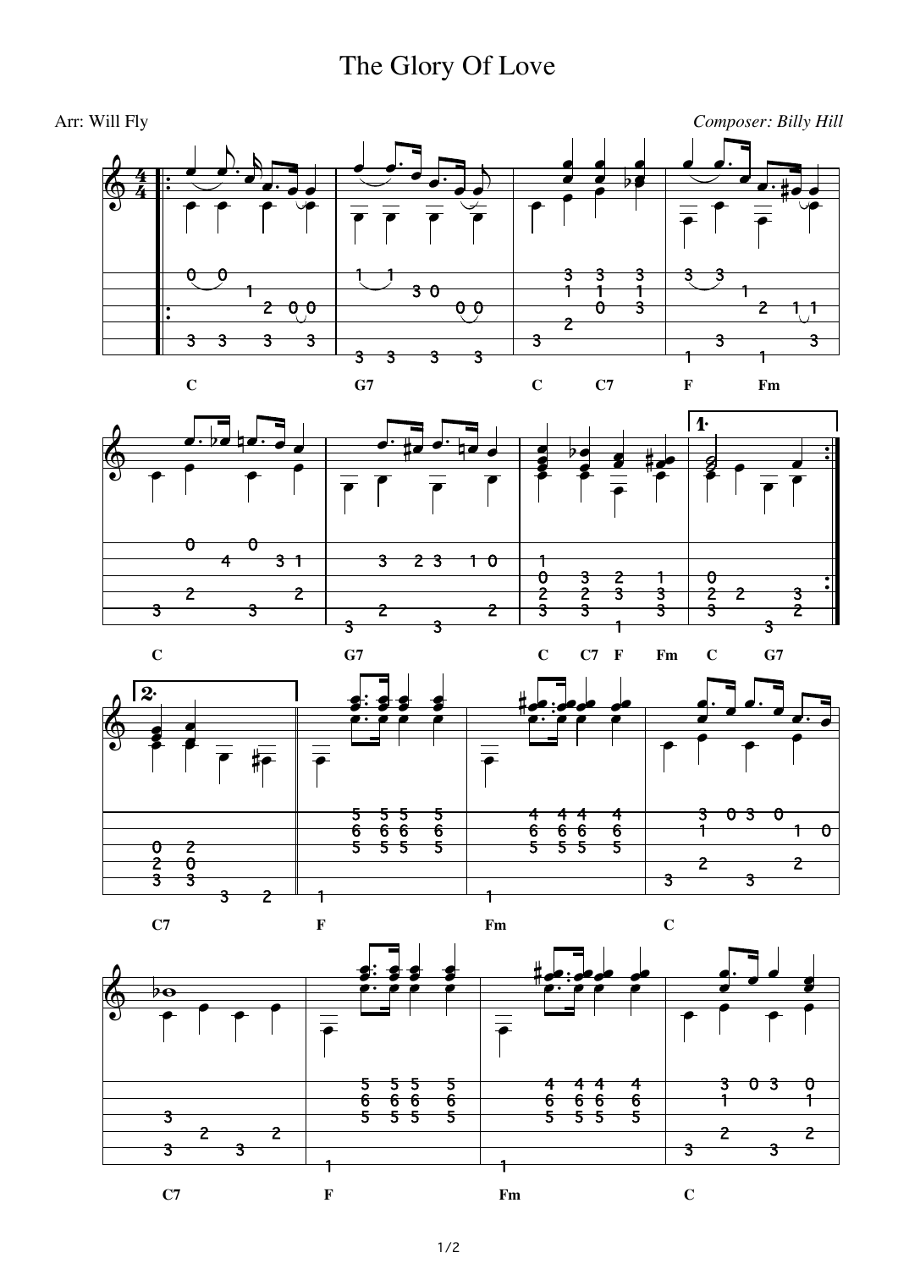## The Glory Of Love